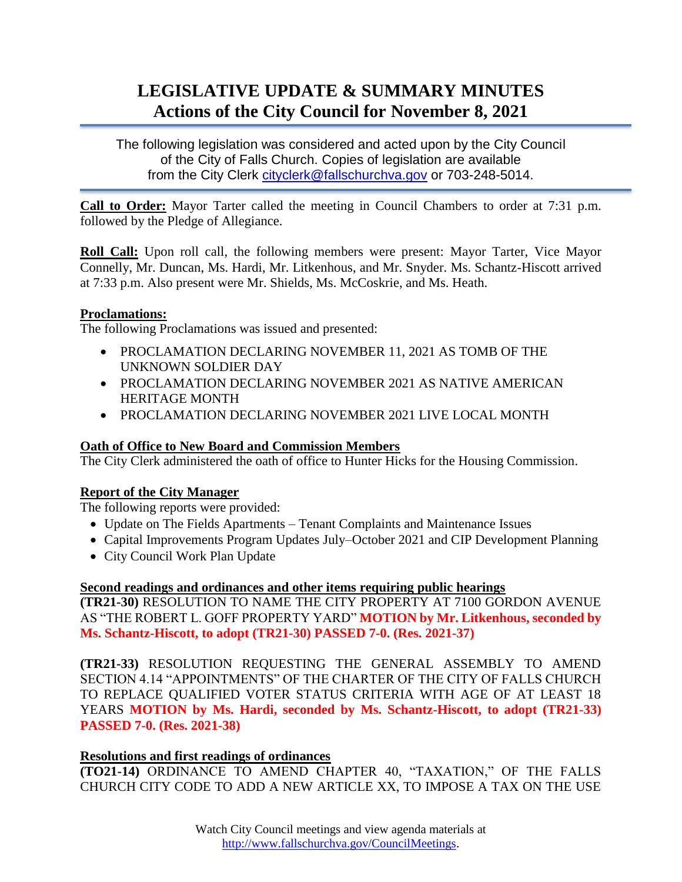# **LEGISLATIVE UPDATE & SUMMARY MINUTES Actions of the City Council for November 8, 2021**

The following legislation was considered and acted upon by the City Council of the City of Falls Church. Copies of legislation are available from the City Clerk [cityclerk@fallschurchva.gov](mailto:cityclerk@fallschurchva.gov) or 703-248-5014.

**Call to Order:** Mayor Tarter called the meeting in Council Chambers to order at 7:31 p.m. followed by the Pledge of Allegiance.

**Roll Call:** Upon roll call, the following members were present: Mayor Tarter, Vice Mayor Connelly, Mr. Duncan, Ms. Hardi, Mr. Litkenhous, and Mr. Snyder. Ms. Schantz-Hiscott arrived at 7:33 p.m. Also present were Mr. Shields, Ms. McCoskrie, and Ms. Heath.

## **Proclamations:**

The following Proclamations was issued and presented:

- PROCLAMATION DECLARING NOVEMBER 11, 2021 AS TOMB OF THE UNKNOWN SOLDIER DAY
- PROCLAMATION DECLARING NOVEMBER 2021 AS NATIVE AMERICAN HERITAGE MONTH
- PROCLAMATION DECLARING NOVEMBER 2021 LIVE LOCAL MONTH

## **Oath of Office to New Board and Commission Members**

The City Clerk administered the oath of office to Hunter Hicks for the Housing Commission.

## **Report of the City Manager**

The following reports were provided:

- Update on The Fields Apartments Tenant Complaints and Maintenance Issues
- Capital Improvements Program Updates July–October 2021 and CIP Development Planning
- City Council Work Plan Update

### **Second readings and ordinances and other items requiring public hearings**

**(TR21-30)** RESOLUTION TO NAME THE CITY PROPERTY AT 7100 GORDON AVENUE AS "THE ROBERT L. GOFF PROPERTY YARD" **MOTION by Mr. Litkenhous, seconded by Ms. Schantz-Hiscott, to adopt (TR21-30) PASSED 7-0. (Res. 2021-37)**

**(TR21-33)** RESOLUTION REQUESTING THE GENERAL ASSEMBLY TO AMEND SECTION 4.14 "APPOINTMENTS" OF THE CHARTER OF THE CITY OF FALLS CHURCH TO REPLACE QUALIFIED VOTER STATUS CRITERIA WITH AGE OF AT LEAST 18 YEARS **MOTION by Ms. Hardi, seconded by Ms. Schantz-Hiscott, to adopt (TR21-33) PASSED 7-0. (Res. 2021-38)**

### **Resolutions and first readings of ordinances**

**(TO21-14)** ORDINANCE TO AMEND CHAPTER 40, "TAXATION," OF THE FALLS CHURCH CITY CODE TO ADD A NEW ARTICLE XX, TO IMPOSE A TAX ON THE USE